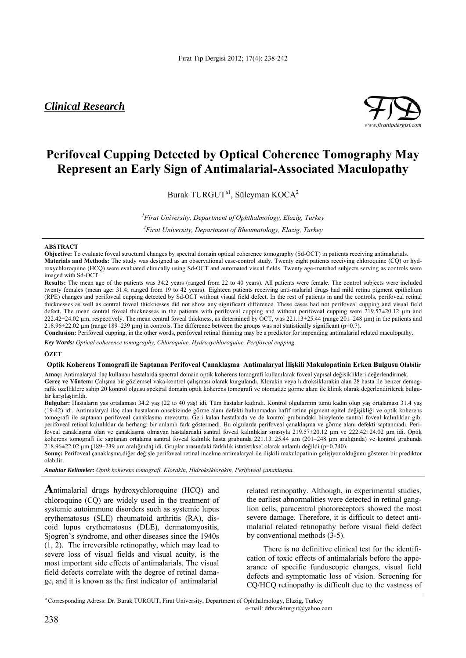## *Clinical Research*



# **Perifoveal Cupping Detected by Optical Coherence Tomography May Represent an Early Sign of Antimalarial-Associated Maculopathy**

Burak TURGUT<sup>a1</sup>, Süleyman KOCA<sup>2</sup>

*1 Firat University, Department of Ophthalmology, Elazig, Turkey* 

*2 Firat University, Department of Rheumatology, Elazig, Turkey* 

## **ABSTRACT**

**Objective:** To evaluate foveal structural changes by spectral domain optical coherence tomography (Sd-OCT) in patients receiving antimalarials. **Materials and Methods:** The study was designed as an observational case-control study. Twenty eight patients receiving chloroquine (CQ) or hydroxychloroquine (HCQ) were evaluated clinically using Sd-OCT and automated visual fields. Twenty age-matched subjects serving as controls were imaged with Sd-OCT.

**Results:** The mean age of the patients was 34.2 years (ranged from 22 to 40 years). All patients were female. The control subjects were included twenty females (mean age: 31.4; ranged from 19 to 42 years). Eighteen patients receiving anti-malarial drugs had mild retina pigment epithelium (RPE) changes and perifoveal cupping detected by Sd-OCT without visual field defect. In the rest of patients in and the controls, perifoveal retinal thicknesses as well as central foveal thicknesses did not show any significant difference. These cases had not perifoveal cupping and visual field defect. The mean central foveal thicknesses in the patients with perifoveal cupping and without perifoveal cupping were  $219.57\pm20.12$  µm and  $222.42\pm24.02$  µm, respectively. The mean central foveal thickness, as determined by OCT, was  $221.13\pm25.44$  (range  $201-248$  µm) in the patients and 218.96 $\pm$ 22.02 µm (range 189–239 µm) in controls. The difference between the groups was not statistically significant (p=0.7).

**Conclusion:** Perifoveal cupping, in the other words, perifoveal retinal thinning may be a predictor for impending antimalarial related maculopathy.

*Key Words: Optical coherence tomography, Chloroquine, Hydroxychloroquine, Perifoveal cupping.* 

## **ÖZET**

## **Optik Koherens Tomografi ile Saptanan Perifoveal Çanaklaşma Antimalaryal İlişkili Makulopatinin Erken Bulgusu Olabilir**

**Amaç:** Antimalaryal ilaç kullanan hastalarda spectral domain optik koherens tomografi kullanılarak foveal yapısal değişiklikleri değerlendirmek. **Gereç ve Yöntem:** Çalışma bir gözlemsel vaka-kontrol çalışması olarak kurgulandı. Klorakin veya hidroksiklorakin alan 28 hasta ile benzer demografik özelliklere sahip 20 kontrol olgusu spektral domain optik koherens tomografi ve otomatize görme alanı ile klinik olarak değerlendirilerek bulgular karşılaştırıldı.

**Bulgular:** Hastaların yaş ortalaması 34.2 yaş (22 to 40 yaş) idi. Tüm hastalar kadındı. Kontrol olgularının tümü kadın olup yaş ortalaması 31.4 yaş (19-42) idi. Antimalaryal ilaç alan hastaların onsekizinde görme alanı defekti bulunmadan hafif retina pigment epitel değişikliği ve optik koherens tomografi ile saptanan perifoveal çanaklaşma mevcuttu. Geri kalan hastalarda ve de kontrol grubundaki bireylerde santral foveal kalınlıklar gibi perifoveal retinal kalınlıklar da herhangi bir anlamlı fark göstermedi. Bu olgularda perifoveal çanaklaşma ve görme alanı defekti saptanmadı. Perifoveal çanaklaşma olan ve çanaklaşma olmayan hastalardaki santral foveal kalınlıklar sırasıyla 219.57±20.12 µm ve 222.42±24.02 µm idi. Optik koherens tomografi ile saptanan ortalama santral foveal kalınlık hasta grubunda 221.13±25.44 µm (201–248 µm aralığında) ve kontrol grubunda 218.96±22.02 µm (189–239 µm aralığında) idi. Gruplar arasındaki farklılık istatistiksel olarak anlamlı değildi (p=0.740).

**Sonuç:** Perifoveal çanaklaşma,diğer değişle perifoveal retinal incelme antimalaryal ile ilişkili makulopatinin gelişiyor olduğunu gösteren bir prediktor olabilir.

*Anahtar Kelimeler: Optik koherens tomografi, Klorakin, Hidroksiklorakin, Perifoveal çanaklaşma.*

**A**ntimalarial drugs hydroxychloroquine (HCQ) and chloroquine (CQ) are widely used in the treatment of systemic autoimmune disorders such as systemic lupus erythematosus (SLE) rheumatoid arthritis (RA), discoid lupus erythematosus (DLE), dermatomyositis, Sjogren's syndrome, and other diseases since the 1940s (1, 2). The irreversible retinopathy, which may lead to severe loss of visual fields and visual acuity, is the most important side effects of antimalarials. The visual field defects correlate with the degree of retinal damage, and it is known as the first indicator of antimalarial

related retinopathy. Although, in experimental studies, the earliest abnormalities were detected in retinal ganglion cells, paracentral photoreceptors showed the most severe damage. Therefore, it is difficult to detect antimalarial related retinopathy before visual field defect by conventional methods (3-5).

There is no definitive clinical test for the identification of toxic effects of antimalarials before the appearance of specific funduscopic changes, visual field defects and symptomatic loss of vision. Screening for CQ/HCQ retinopathy is difficult due to the vastness of

a Corresponding Adress: Dr. Burak TURGUT, Firat University, Department of Ophthalmology, Elazig, Turkey

e-mail: drburakturgut@yahoo.com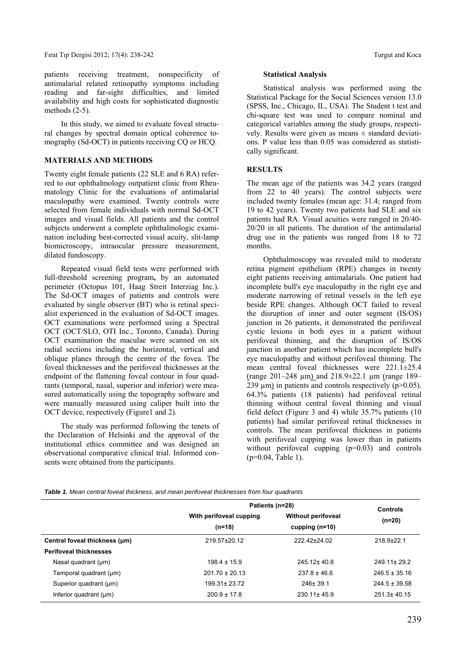patients receiving treatment, nonspecificity of antimalarial related retinopathy symptoms including reading and far-sight difficulties, and limited availability and high costs for sophisticated diagnostic methods (2-5).

In this study, we aimed to evaluate foveal structural changes by spectral domain optical coherence tomography (Sd-OCT) in patients receiving CQ or HCQ.

## **MATERIALS AND METHODS**

Twenty eight female patients (22 SLE and 6 RA) referred to our ophthalmology outpatient clinic from Rheumatology Clinic for the evaluations of antimalarial maculopathy were examined. Twenty controls were selected from female individuals with normal Sd-OCT images and visual fields. All patients and the control subjects underwent a complete ophthalmologic examination including best-corrected visual acuity, slit-lamp biomicroscopy, intraocular pressure measurement, dilated fundoscopy.

Repeated visual field tests were performed with full-threshold screening program**,** by an automated perimeter (Octopus 101, Haag Streit Interziag Inc.). The Sd-OCT images of patients and controls were evaluated by single observer (BT) who is retinal specialist experienced in the evaluation of Sd-OCT images. OCT examinations were performed using a Spectral OCT (OCT/SLO, OTI Inc., Toronto, Canada). During OCT examination the maculae were scanned on six radial sections including the horizontal, vertical and oblique planes through the centre of the fovea. The foveal thicknesses and the perifoveal thicknesses at the endpoint of the flattening foveal contour in four quadrants (temporal, nasal, superior and inferior) were measured automatically using the topography software and were manually measured using caliper built into the OCT device, respectively (Figure1 and 2).

The study was performed following the tenets of the Declaration of Helsinki and the approval of the institutional ethics committee and was designed an observational comparative clinical trial. Informed consents were obtained from the participants.

#### **Statistical Analysis**

Statistical analysis was performed using the Statistical Package for the Social Sciences version 13.0 (SPSS, Inc., Chicago, IL, USA). The Student t test and chi-square test was used to compare nominal and categorical variables among the study groups, respectively. Results were given as means  $\pm$  standard deviations. P value less than 0.05 was considered as statistically significant.

## **RESULTS**

The mean age of the patients was 34.2 years (ranged from 22 to 40 years). The control subjects were included twenty females (mean age: 31.4; ranged from 19 to 42 years). Twenty two patients had SLE and six patients had RA. Visual acuities were ranged in 20/40- 20/20 in all patients. The duration of the antimalarial drug use in the patients was ranged from 18 to 72 months.

Ophthalmoscopy was revealed mild to moderate retina pigment epithelium (RPE) changes in twenty eight patients receiving antimalarials. One patient had incomplete bull's eye maculopathy in the right eye and moderate narrowing of retinal vessels in the left eye beside RPE changes. Although OCT failed to reveal the disruption of inner and outer segment (IS/OS) junction in 26 patients, it demonstrated the perifoveal cystic lesions in both eyes in a patient without perifoveal thinning, and the disruption of IS/OS junction in another patient which has incomplete bull's eye maculopathy and without perifoveal thinning. The mean central foveal thicknesses were 221.1±25.4 (range 201–248 µm) and 218.9±22.1 µm (range 189– 239  $\mu$ m) in patients and controls respectively (p>0.05). 64.3% patients (18 patients) had perifoveal retinal thinning without central foveal thinning and visual field defect (Figure 3 and 4) while 35.7% patients (10 patients) had similar perifoveal retinal thicknesses in controls. The mean perifoveal thickness in patients with perifoveal cupping was lower than in patients without perifoveal cupping (p=0.03) and controls (p=0.04, Table 1).

*Table 1. Mean central foveal thickness, and mean perifoveal thicknesses from four quadrants*

|                               | Patients (n=28)                     |                                               | <b>Controls</b>   |
|-------------------------------|-------------------------------------|-----------------------------------------------|-------------------|
|                               | With perifoveal cupping<br>$(n=18)$ | <b>Without perifoveal</b><br>cupping $(n=10)$ | $(n=20)$          |
|                               |                                     |                                               |                   |
| Central foveal thickness (um) | 219.57±20.12                        | 222.42±24.02                                  | $218.9 + 22.1$    |
| <b>Perifoveal thicknesses</b> |                                     |                                               |                   |
| Nasal quadrant (µm)           | $198.4 \pm 15.9$                    | $245.12 \pm 40.8$                             | $249.11 \pm 29.2$ |
| Temporal quadrant (µm)        | $201.70 \pm 20.13$                  | $237.8 \pm 46.6$                              | $246.5 \pm 35.16$ |
| Superior quadrant (µm)        | 199.31± 23.72                       | $246 \pm 39.1$                                | $244.5 \pm 39.58$ |
| Inferior quadrant (µm)        | $200.9 \pm 17.8$                    | $230.11 \pm 45.9$                             | $251.3 \pm 40.15$ |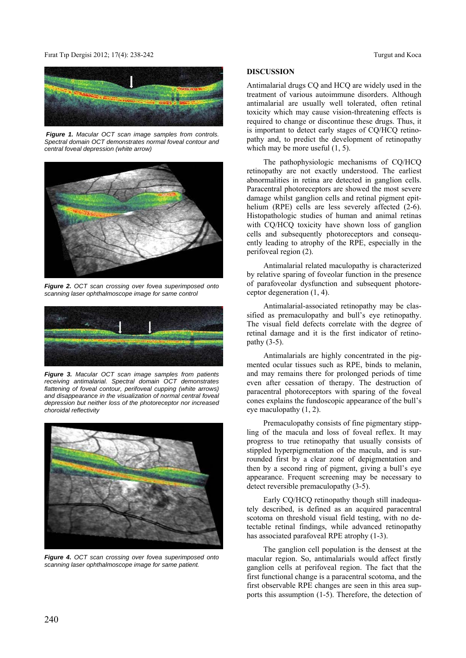## Fırat Tıp Dergisi 2012; 17(4): 238-242 Turgut and Koca



 *Figure 1. Macular OCT scan image samples from controls. Spectral domain OCT demonstrates normal foveal contour and central foveal depression (white arrow)* 



*Figure 2. OCT scan crossing over fovea superimposed onto scanning laser ophthalmoscope image for same control* 



*Figure 3. Macular OCT scan image samples from patients receiving antimalarial. Spectral domain OCT demonstrates flattening of foveal contour, perifoveal cupping (white arrows) and disappearance in the visualization of normal central foveal depression but neither loss of the photoreceptor nor increased choroidal reflectivity* 



*Figure 4. OCT scan crossing over fovea superimposed onto scanning laser ophthalmoscope image for same patient.*

## **DISCUSSION**

Antimalarial drugs CQ and HCQ are widely used in the treatment of various autoimmune disorders. Although antimalarial are usually well tolerated, often retinal toxicity which may cause vision-threatening effects is required to change or discontinue these drugs. Thus, it is important to detect early stages of CQ/HCQ retinopathy and, to predict the development of retinopathy which may be more useful  $(1, 5)$ .

The pathophysiologic mechanisms of CQ/HCQ retinopathy are not exactly understood. The earliest abnormalities in retina are detected in ganglion cells. Paracentral photoreceptors are showed the most severe damage whilst ganglion cells and retinal pigment epithelium (RPE) cells are less severely affected  $(2-6)$ . Histopathologic studies of human and animal retinas with CQ/HCQ toxicity have shown loss of ganglion cells and subsequently photoreceptors and consequently leading to atrophy of the RPE, especially in the perifoveal region (2).

Antimalarial related maculopathy is characterized by relative sparing of foveolar function in the presence of parafoveolar dysfunction and subsequent photoreceptor degeneration (1, 4).

Antimalarial-associated retinopathy may be classified as premaculopathy and bull's eye retinopathy. The visual field defects correlate with the degree of retinal damage and it is the first indicator of retinopathy (3-5).

Antimalarials are highly concentrated in the pigmented ocular tissues such as RPE, binds to melanin, and may remains there for prolonged periods of time even after cessation of therapy. The destruction of paracentral photoreceptors with sparing of the foveal cones explains the fundoscopic appearance of the bull's eye maculopathy (1, 2).

Premaculopathy consists of fine pigmentary stippling of the macula and loss of foveal reflex. It may progress to true retinopathy that usually consists of stippled hyperpigmentation of the macula, and is surrounded first by a clear zone of depigmentation and then by a second ring of pigment, giving a bull's eye appearance. Frequent screening may be necessary to detect reversible premaculopathy (3-5).

Early CQ/HCQ retinopathy though still inadequately described, is defined as an acquired paracentral scotoma on threshold visual field testing, with no detectable retinal findings, while advanced retinopathy has associated parafoveal RPE atrophy (1-3).

The ganglion cell population is the densest at the macular region. So, antimalarials would affect firstly ganglion cells at perifoveal region. The fact that the first functional change is a paracentral scotoma, and the first observable RPE changes are seen in this area supports this assumption (1-5). Therefore, the detection of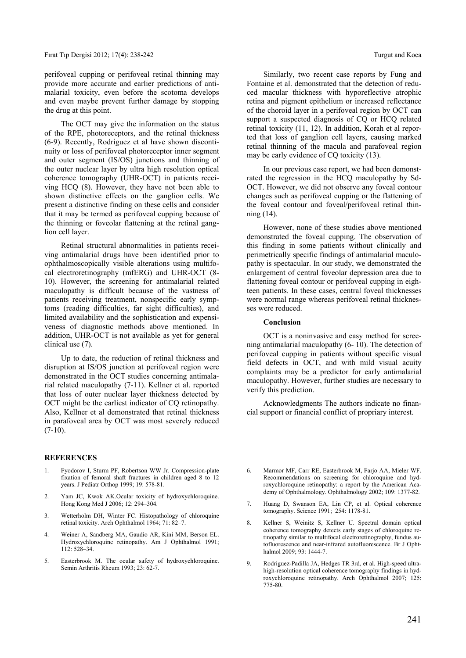perifoveal cupping or perifoveal retinal thinning may provide more accurate and earlier predictions of antimalarial toxicity, even before the scotoma develops and even maybe prevent further damage by stopping the drug at this point.

The OCT may give the information on the status of the RPE, photoreceptors, and the retinal thickness (6-9). Recently, Rodriguez et al have shown discontinuity or loss of perifoveal photoreceptor inner segment and outer segment (IS/OS) junctions and thinning of the outer nuclear layer by ultra high resolution optical coherence tomography (UHR-OCT) in patients receiving HCQ (8). However, they have not been able to shown distinctive effects on the ganglion cells. We present a distinctive finding on these cells and consider that it may be termed as perifoveal cupping because of the thinning or foveolar flattening at the retinal ganglion cell layer.

Retinal structural abnormalities in patients receiving antimalarial drugs have been identified prior to ophthalmoscopically visible alterations using multifocal electroretinography (mfERG) and UHR-OCT (8- 10). However, the screening for antimalarial related maculopathy is difficult because of the vastness of patients receiving treatment, nonspecific early symptoms (reading difficulties, far sight difficulties), and limited availability and the sophistication and expensiveness of diagnostic methods above mentioned. In addition, UHR-OCT is not available as yet for general clinical use (7).

Up to date, the reduction of retinal thickness and disruption at IS/OS junction at perifoveal region were demonstrated in the OCT studies concerning antimalarial related maculopathy (7-11). Kellner et al. reported that loss of outer nuclear layer thickness detected by OCT might be the earliest indicator of CQ retinopathy. Also, Kellner et al demonstrated that retinal thickness in parafoveal area by OCT was most severely reduced  $(7-10)$ .

#### **REFERENCES**

- 1. Fyodorov I, Sturm PF, Robertson WW Jr. Compression-plate fixation of femoral shaft fractures in children aged 8 to 12 years. J Pediatr Orthop 1999; 19: 578-81.
- 2. Yam JC, Kwok AK.Ocular toxicity of hydroxychloroquine. Hong Kong Med J 2006; 12: 294–304.
- 3. Wetterholm DH, Winter FC. Histopathology of chloroquine retinal toxicity. Arch Ophthalmol 1964; 71: 82–7.
- 4. Weiner A, Sandberg MA, Gaudio AR, Kini MM, Berson EL. Hydroxychloroquine retinopathy. Am J Ophthalmol 1991; 112: 528–34.
- 5. Easterbrook M. The ocular safety of hydroxychloroquine. Semin Arthritis Rheum 1993; 23: 62-7.

Similarly, two recent case reports by Fung and Fontaine et al. demonstrated that the detection of reduced macular thickness with hyporeflective atrophic retina and pigment epithelium or increased reflectance of the choroid layer in a perifoveal region by OCT can support a suspected diagnosis of CQ or HCQ related retinal toxicity (11, 12). In addition, Korah et al reported that loss of ganglion cell layers, causing marked retinal thinning of the macula and parafoveal region may be early evidence of CQ toxicity (13).

In our previous case report, we had been demonstrated the regression in the HCQ maculopathy by Sd-OCT. However, we did not observe any foveal contour changes such as perifoveal cupping or the flattening of the foveal contour and foveal/perifoveal retinal thinning (14).

However, none of these studies above mentioned demonstrated the foveal cupping. The observation of this finding in some patients without clinically and perimetrically specific findings of antimalarial maculopathy is spectacular. In our study, we demonstrated the enlargement of central foveolar depression area due to flattening foveal contour or perifoveal cupping in eighteen patients. In these cases, central foveal thicknesses were normal range whereas perifoveal retinal thicknesses were reduced.

## **Conclusion**

OCT is a noninvasive and easy method for screening antimalarial maculopathy (6- 10). The detection of perifoveal cupping in patients without specific visual field defects in OCT, and with mild visual acuity complaints may be a predictor for early antimalarial maculopathy. However, further studies are necessary to verify this prediction.

Acknowledgments The authors indicate no financial support or financial conflict of propriary interest.

- 6. Marmor MF, Carr RE, Easterbrook M, Farjo AA, Mieler WF. Recommendations on screening for chloroquine and hydroxychloroquine retinopathy: a report by the American Academy of Ophthalmology. Ophthalmology 2002; 109: 1377-82.
- 7. Huang D, Swanson EA, Lin CP, et al. Optical coherence tomography. Science 1991; 254: 1178-81.
- 8. Kellner S, Weinitz S, Kellner U. Spectral domain optical coherence tomography detects early stages of chloroquine retinopathy similar to multifocal electroretinography, fundus autofluorescence and near-infrared autofluorescence. Br J Ophthalmol 2009; 93: 1444-7.
- 9. Rodriguez-Padilla JA, Hedges TR 3rd, et al. High-speed ultrahigh-resolution optical coherence tomography findings in hydroxychloroquine retinopathy. Arch Ophthalmol 2007; 125: 775-80.